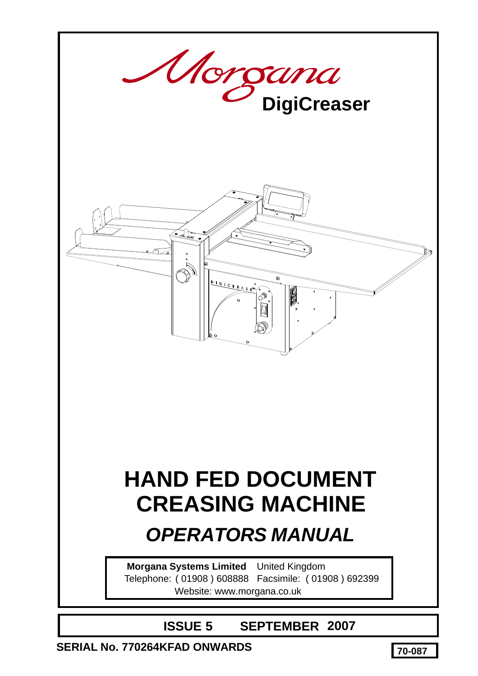

**SERIAL No. 770264KFAD ONWARDS**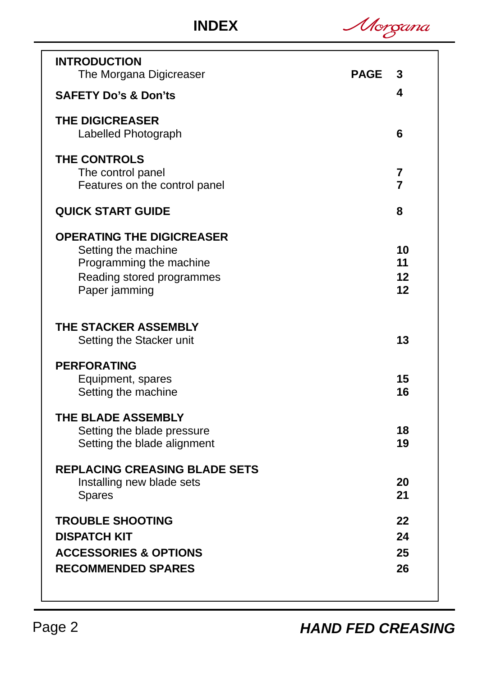Morgana

| <b>INTRODUCTION</b><br>The Morgana Digicreaser                                                                                   | <b>PAGE</b> | 3                    |
|----------------------------------------------------------------------------------------------------------------------------------|-------------|----------------------|
| <b>SAFETY Do's &amp; Don'ts</b>                                                                                                  |             | 4                    |
| <b>THE DIGICREASER</b><br>Labelled Photograph                                                                                    |             | 6                    |
| <b>THE CONTROLS</b><br>The control panel<br>Features on the control panel                                                        |             | 7<br>$\overline{7}$  |
| <b>QUICK START GUIDE</b>                                                                                                         |             | 8                    |
| <b>OPERATING THE DIGICREASER</b><br>Setting the machine<br>Programming the machine<br>Reading stored programmes<br>Paper jamming |             | 10<br>11<br>12<br>12 |
| THE STACKER ASSEMBLY<br>Setting the Stacker unit                                                                                 |             | 13                   |
| <b>PERFORATING</b><br>Equipment, spares<br>Setting the machine                                                                   |             | 15<br>16             |
| <b>THE BLADE ASSEMBLY</b><br>Setting the blade pressure<br>Setting the blade alignment                                           |             | 18<br>19             |
| <b>REPLACING CREASING BLADE SETS</b><br>Installing new blade sets<br><b>Spares</b>                                               |             | 20<br>21             |
| <b>TROUBLE SHOOTING</b>                                                                                                          |             | 22                   |
| <b>DISPATCH KIT</b>                                                                                                              |             | 24                   |
| <b>ACCESSORIES &amp; OPTIONS</b>                                                                                                 |             | 25                   |
| <b>RECOMMENDED SPARES</b>                                                                                                        |             | 26                   |

Page 2 **HAND FED CREASING**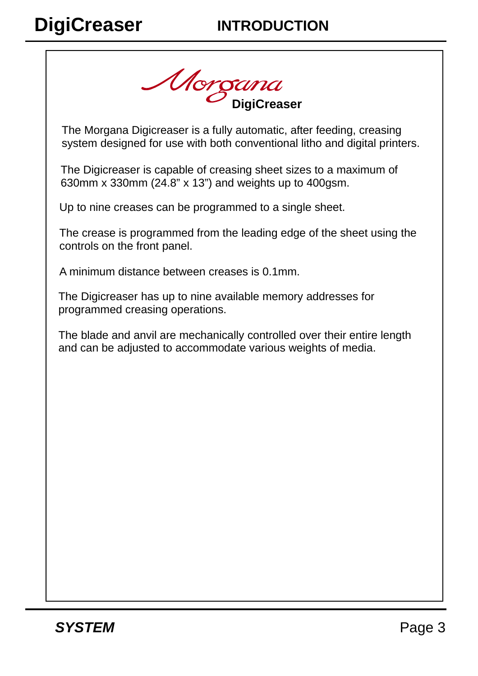Morgana

The Morgana Digicreaser is a fully automatic, after feeding, creasing system designed for use with both conventional litho and digital printers.

The Digicreaser is capable of creasing sheet sizes to a maximum of 630mm x 330mm (24.8" x 13") and weights up to 400gsm.

Up to nine creases can be programmed to a single sheet.

The crease is programmed from the leading edge of the sheet using the controls on the front panel.

A minimum distance between creases is 0.1mm.

The Digicreaser has up to nine available memory addresses for programmed creasing operations.

The blade and anvil are mechanically controlled over their entire length and can be adjusted to accommodate various weights of media.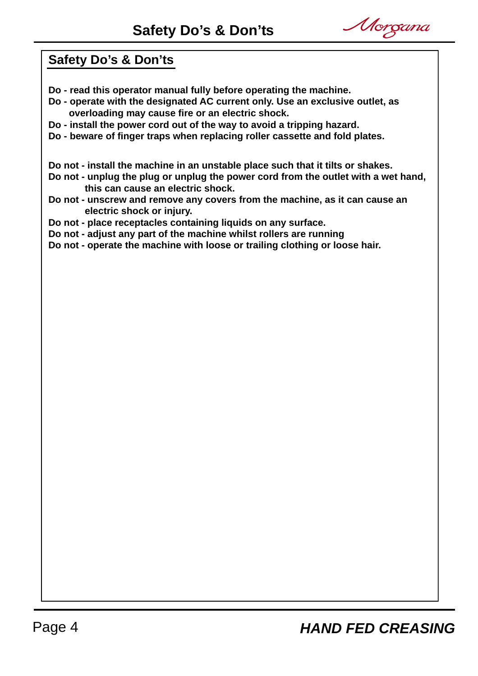Morgana

# **Safety Do's & Don'ts**

- **Do - read this operator manual fully before operating the machine.**
- **Do - operate with the designated AC current only. Use an exclusive outlet, as overloading may cause fire or an electric shock.**
- **Do - install the power cord out of the way to avoid a tripping hazard.**
- **Do - beware of finger traps when replacing roller cassette and fold plates.**
- **Do not - install the machine in an unstable place such that it tilts or shakes.**
- **Do not - unplug the plug or unplug the power cord from the outlet with a wet hand, this can cause an electric shock.**
- **Do not - unscrew and remove any covers from the machine, as it can cause an electric shock or injury.**
- **Do not - place receptacles containing liquids on any surface.**
- **Do not - adjust any part of the machine whilst rollers are running**
- **Do not - operate the machine with loose or trailing clothing or loose hair.**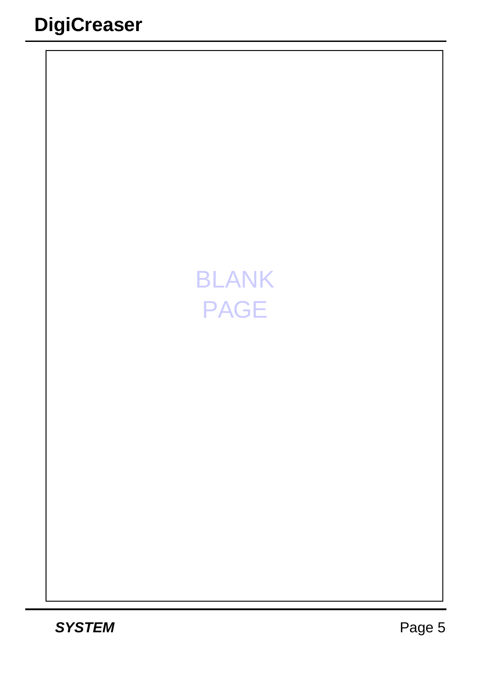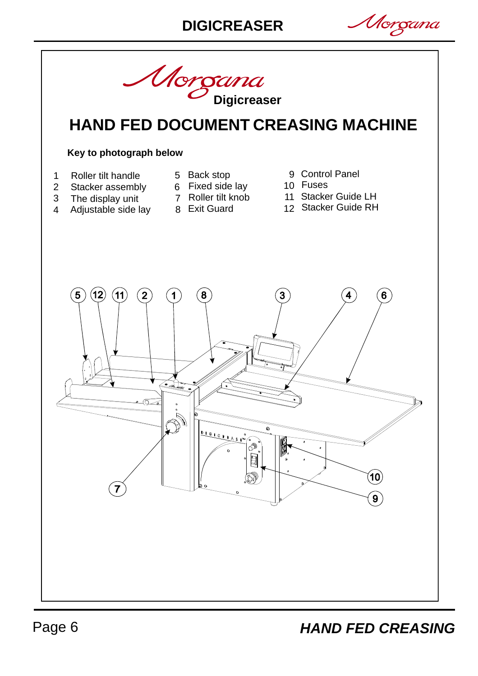**DIGICREASER**

Morgana

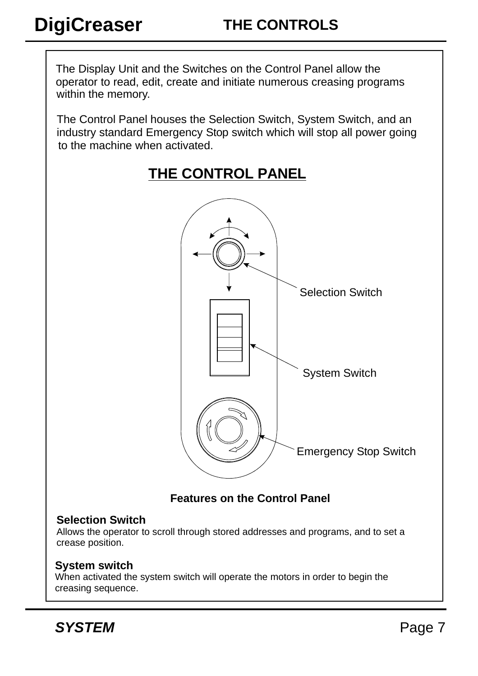The Display Unit and the Switches on the Control Panel allow the operator to read, edit, create and initiate numerous creasing programs within the memory.

The Control Panel houses the Selection Switch, System Switch, and an industry standard Emergency Stop switch which will stop all power going to the machine when activated.

# **THE CONTROL PANEL**



# **Features on the Control Panel**

# **Selection Switch**

Allows the operator to scroll through stored addresses and programs, and to set a crease position.

# **System switch**

When activated the system switch will operate the motors in order to begin the creasing sequence.

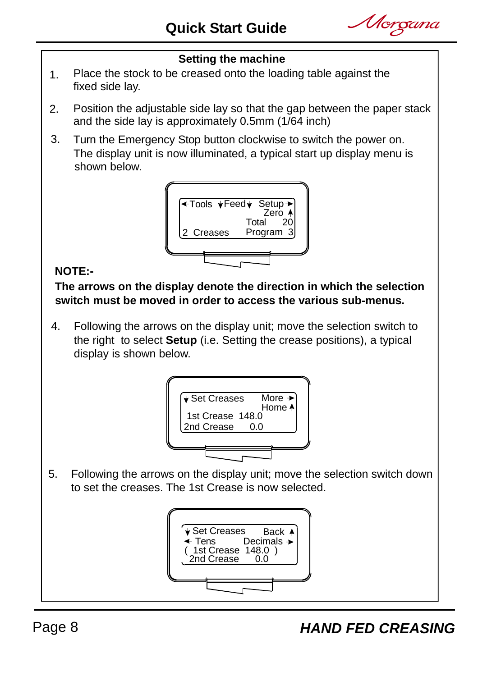Morgana

# **Setting the machine**

- 1. Place the stock to be creased onto the loading table against the fixed side lay.
- Position the adjustable side lay so that the gap between the paper stack and the side lay is approximately 0.5mm (1/64 inch) 2.
- 3. Turn the Emergency Stop button clockwise to switch the power on. The display unit is now illuminated, a typical start up display menu is shown below.



# **NOTE:-**

**The arrows on the display denote the direction in which the selection switch must be moved in order to access the various sub-menus.**

4. Following the arrows on the display unit; move the selection switch to the right to select **Setup** (i.e. Setting the crease positions), a typical display is shown below.



5. Following the arrows on the display unit; move the selection switch down to set the creases. The 1st Crease is now selected.

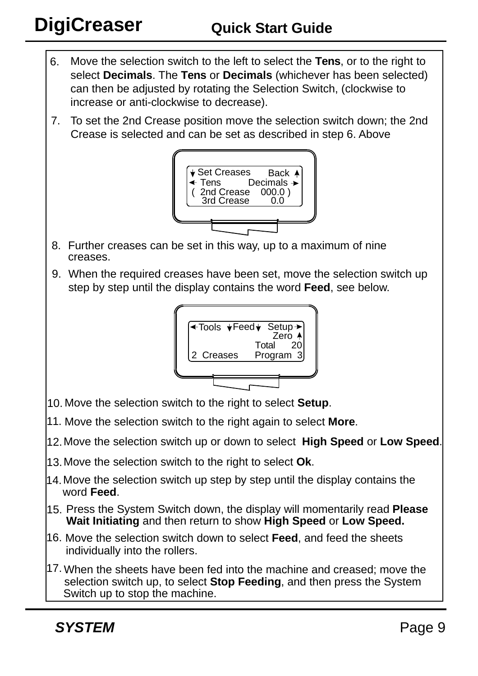- Move the selection switch to the left to select the **Tens**, or to the right to select **Decimals**. The **Tens** or **Decimals** (whichever has been selected) can then be adjusted by rotating the Selection Switch, (clockwise to increase or anti-clockwise to decrease). 6.
- 7. To set the 2nd Crease position move the selection switch down; the 2nd Crease is selected and can be set as described in step 6. Above



- 8. Further creases can be set in this way, up to a maximum of nine creases.
- 9. When the required creases have been set, move the selection switch up step by step until the display contains the word **Feed**, see below.



- 10. Move the selection switch to the right to select Setup.
- 11. Move the selection switch to the right again to select More.
- 12. Move the selection switch up or down to select High Speed or Low Speed.
- 13. Move the selection switch to the right to select **Ok**.
- 14.Move the selection switch up step by step until the display contains the word Feed.
- 15. Press the System Switch down, the display will momentarily read **Please Wait Initiating** and then return to show **High Speed** or **Low Speed.**
- 16. Move the selection switch down to select **Feed**, and feed the sheets individually into the rollers.
- 17. When the sheets have been fed into the machine and creased; move the selection switch up, to select **Stop Feeding**, and then press the System Switch up to stop the machine.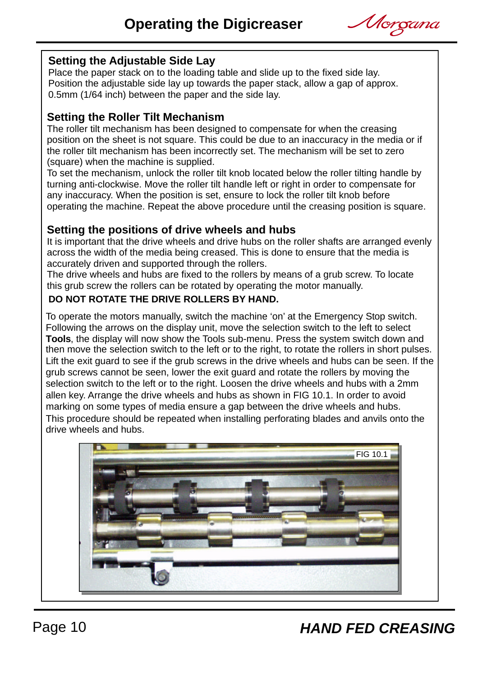Morgana

#### **Setting the Adjustable Side Lay**

Place the paper stack on to the loading table and slide up to the fixed side lay. Position the adjustable side lay up towards the paper stack, allow a gap of approx. 0.5mm (1/64 inch) between the paper and the side lay.

## **Setting the Roller Tilt Mechanism**

The roller tilt mechanism has been designed to compensate for when the creasing position on the sheet is not square. This could be due to an inaccuracy in the media or if the roller tilt mechanism has been incorrectly set. The mechanism will be set to zero (square) when the machine is supplied.

To set the mechanism, unlock the roller tilt knob located below the roller tilting handle by turning anti-clockwise. Move the roller tilt handle left or right in order to compensate for any inaccuracy. When the position is set, ensure to lock the roller tilt knob before operating the machine. Repeat the above procedure until the creasing position is square.

# **Setting the positions of drive wheels and hubs**

It is important that the drive wheels and drive hubs on the roller shafts are arranged evenly across the width of the media being creased. This is done to ensure that the media is accurately driven and supported through the rollers.

The drive wheels and hubs are fixed to the rollers by means of a grub screw. To locate this grub screw the rollers can be rotated by operating the motor manually.

#### **DO NOT ROTATE THE DRIVE ROLLERS BY HAND.**

To operate the motors manually, switch the machine 'on' at the Emergency Stop switch. Following the arrows on the display unit, move the selection switch to the left to select **Tools**, the display will now show the Tools sub-menu. Press the system switch down and then move the selection switch to the left or to the right, to rotate the rollers in short pulses. This procedure should be repeated when installing perforating blades and anvils onto the drive wheels and hubs. Lift the exit guard to see if the grub screws in the drive wheels and hubs can be seen. If the grub screws cannot be seen, lower the exit guard and rotate the rollers by moving the selection switch to the left or to the right. Loosen the drive wheels and hubs with a 2mm allen key. Arrange the drive wheels and hubs as shown in FIG 10.1. In order to avoid marking on some types of media ensure a gap between the drive wheels and hubs.

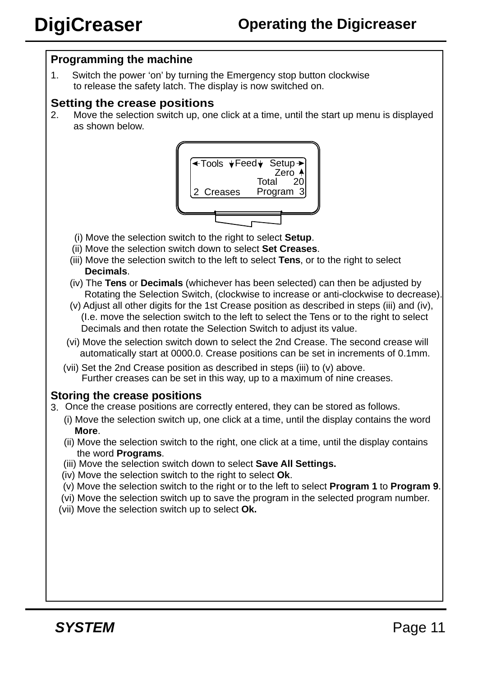# **Programming the machine**

1. Switch the power 'on' by turning the Emergency stop button clockwise to release the safety latch. The display is now switched on.

### **Setting the crease positions**

2. Move the selection switch up, one click at a time, until the start up menu is displayed as shown below.



- (i) Move the selection switch to the right to select **Setup**.
- (ii) Move the selection switch down to select Set Creases.
- (iii) Move the selection switch to the left to select **Tens**, or to the right to select **Decimals**.
- (iv) The **Tens** or **Decimals** (whichever has been selected) can then be adjusted by Rotating the Selection Switch, (clockwise to increase or anti-clockwise to decrease).
- (v) Adjust all other digits for the 1st Crease position as described in steps (iii) and (iv), (I.e. move the selection switch to the left to select the Tens or to the right to select Decimals and then rotate the Selection Switch to adjust its value.
- (vi) Move the selection switch down to select the 2nd Crease. The second crease will automatically start at 0000.0. Crease positions can be set in increments of 0.1mm.
- (vii) Set the 2nd Crease position as described in steps (iii) to (v) above. Further creases can be set in this way, up to a maximum of nine creases.

# **Storing the crease positions**

- 3. Once the crease positions are correctly entered, they can be stored as follows.
	- (i) Move the selection switch up, one click at a time, until the display contains the word **More**.
	- (ii) Move the selection switch to the right, one click at a time, until the display contains the word **Programs**.
	- (iii) Move the selection switch down to select **Save All Settings.**
	- (iv) Move the selection switch to the right to select Ok.
	- (v) Move the selection switch to the right or to the left to select **Program 1** to **Program 9**.
	- (vi) Move the selection switch up to save the program in the selected program number.
	- (vii) Move the selection switch up to select **Ok.**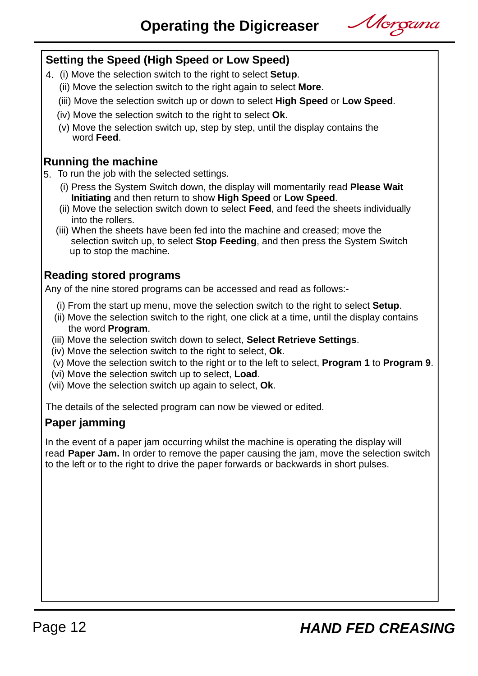Morgana

# **Setting the Speed (High Speed or Low Speed)**

- 4. (i) Move the selection switch to the right to select **Setup**.
	- (ii) Move the selection switch to the right again to select **More**.
	- (iii) Move the selection switch up or down to select **High Speed** or Low Speed.
	- (iv) Move the selection switch to the right to select Ok.
	- (v) Move the selection switch up, step by step, until the display contains the word **Feed**.

## **Running the machine**

- 5. To run the job with the selected settings.
	- (i) Press the System Switch down, the display will momentarily read **Please Wait Initiating** and then return to show **High Speed** or Low Speed.
	- (ii) Move the selection switch down to select **Feed**, and feed the sheets individually into the rollers.
	- (iii) When the sheets have been fed into the machine and creased; move the selection switch up, to select **Stop Feeding**, and then press the System Switch up to stop the machine.

# **Reading stored programs**

Any of the nine stored programs can be accessed and read as follows:-

- (i) From the start up menu, move the selection switch to the right to select **Setup**.
- (ii) Move the selection switch to the right, one click at a time, until the display contains the word **Program**.
- (iii) Move the selection switch down to select, **Select Retrieve Settings**.
- (iv) Move the selection switch to the right to select, Ok.
- (v) Move the selection switch to the right or to the left to select, **Program 1** to **Program 9**.
- (vi) Move the selection switch up to select, **Load**.
- (vii) Move the selection switch up again to select, Ok.

The details of the selected program can now be viewed or edited.

### **Paper jamming**

In the event of a paper jam occurring whilst the machine is operating the display will read **Paper Jam.** In order to remove the paper causing the jam, move the selection switch to the left or to the right to drive the paper forwards or backwards in short pulses.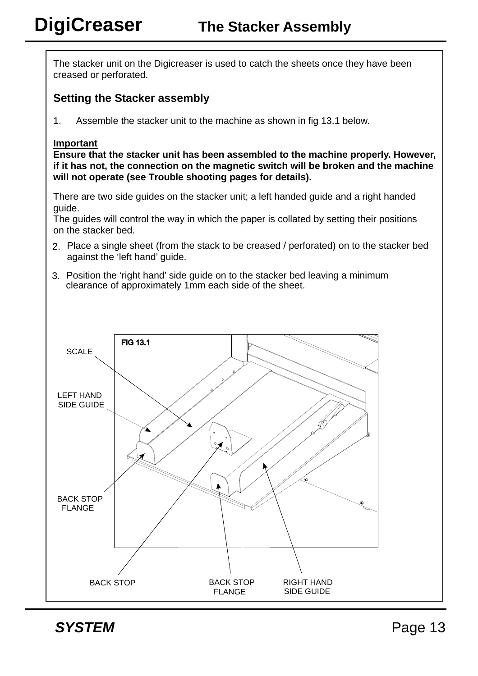The stacker unit on the Digicreaser is used to catch the sheets once they have been creased or perforated.

# **Setting the Stacker assembly**

1. Assemble the stacker unit to the machine as shown in fig 13.1 below.

#### **Important**

**Ensure that the stacker unit has been assembled to the machine properly. However, if it has not, the connection on the magnetic switch will be broken and the machine will not operate (see Trouble shooting pages for details).**

There are two side guides on the stacker unit; a left handed guide and a right handed guide.

The guides will control the way in which the paper is collated by setting their positions on the stacker bed.

- 2. Place a single sheet (from the stack to be creased / perforated) on to the stacker bed against the 'left hand' guide.
- 3. Position the 'right hand' side guide on to the stacker bed leaving a minimum clearance of approximately 1mm each side of the sheet.



**SYSTEM** Page 13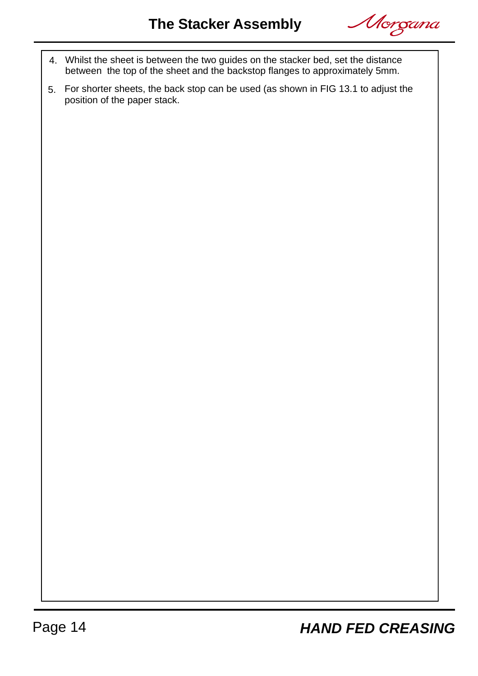Morgana

- 4. Whilst the sheet is between the two guides on the stacker bed, set the distance between the top of the sheet and the backstop flanges to approximately 5mm.
- 5. For shorter sheets, the back stop can be used (as shown in FIG 13.1 to adjust the position of the paper stack.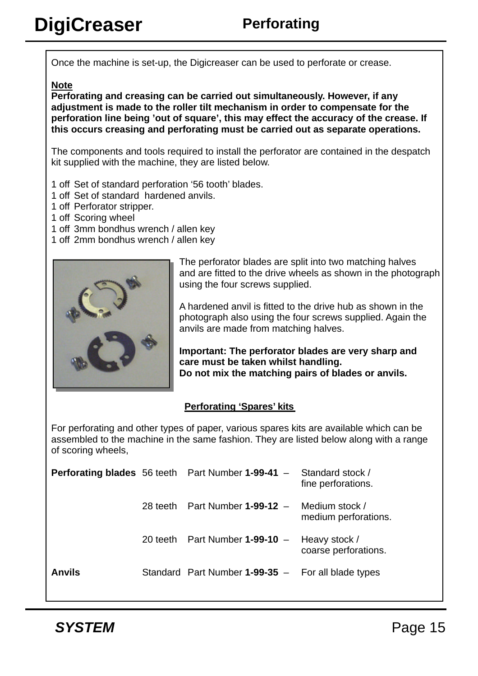# **DigiCreaser** Perforating

Once the machine is set-up, the Digicreaser can be used to perforate or crease.

#### **Note**

**Perforating and creasing can be carried out simultaneously. However, if any adjustment is made to the roller tilt mechanism in order to compensate for the perforation line being 'out of square', this may effect the accuracy of the crease. If this occurs creasing and perforating must be carried out as separate operations.**

The components and tools required to install the perforator are contained in the despatch kit supplied with the machine, they are listed below.

- 1 off Set of standard perforation '56 tooth' blades.
- 1 off Set of standard hardened anvils.
- 1 off Perforator stripper.
- 1 off Scoring wheel
- 1 off 3mm bondhus wrench / allen key
- 1 off 2mm bondhus wrench / allen key



The perforator blades are split into two matching halves and are fitted to the drive wheels as shown in the photograph using the four screws supplied.

A hardened anvil is fitted to the drive hub as shown in the photograph also using the four screws supplied. Again the anvils are made from matching halves.

**Important: The perforator blades are very sharp and care must be taken whilst handling. Do not mix the matching pairs of blades or anvils.**

#### **Perforating 'Spares' kits**

For perforating and other types of paper, various spares kits are available which can be assembled to the machine in the same fashion. They are listed below along with a range of scoring wheels,

|               | <b>Perforating blades</b> 56 teeth Part Number 1-99-41 – | Standard stock /<br>fine perforations. |
|---------------|----------------------------------------------------------|----------------------------------------|
|               | 28 teeth Part Number $1-99-12$ -                         | Medium stock /<br>medium perforations. |
|               | 20 teeth Part Number $1-99-10 -$                         | Heavy stock /<br>coarse perforations.  |
| <b>Anvils</b> | Standard Part Number $1-99-35$ – For all blade types     |                                        |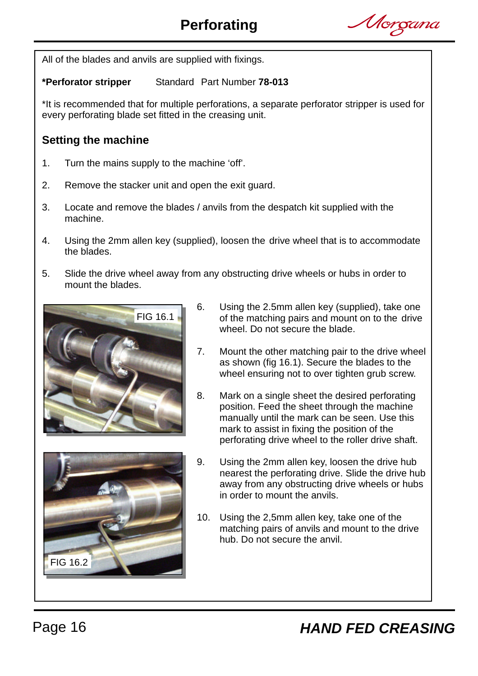Morgana

All of the blades and anvils are supplied with fixings.

**\*Perforator stripper** Standard Part Number **78-013**

\*It is recommended that for multiple perforations, a separate perforator stripper is used for every perforating blade set fitted in the creasing unit.

# **Setting the machine**

- 1. Turn the mains supply to the machine 'off'.
- 2. Remove the stacker unit and open the exit guard.
- 3. Locate and remove the blades / anvils from the despatch kit supplied with the machine.
- 4. Using the 2mm allen key (supplied), loosen the drive wheel that is to accommodate the blades.
- 5. Slide the drive wheel away from any obstructing drive wheels or hubs in order to mount the blades.





- 6. Using the 2.5mm allen key (supplied), take one of the matching pairs and mount on to the drive wheel. Do not secure the blade.
- 7. Mount the other matching pair to the drive wheel as shown (fig 16.1). Secure the blades to the wheel ensuring not to over tighten grub screw.
- 8. Mark on a single sheet the desired perforating position. Feed the sheet through the machine manually until the mark can be seen. Use this mark to assist in fixing the position of the perforating drive wheel to the roller drive shaft.
- 9. Using the 2mm allen key, loosen the drive hub nearest the perforating drive. Slide the drive hub away from any obstructing drive wheels or hubs in order to mount the anvils.
- 10. Using the 2,5mm allen key, take one of the matching pairs of anvils and mount to the drive hub. Do not secure the anvil.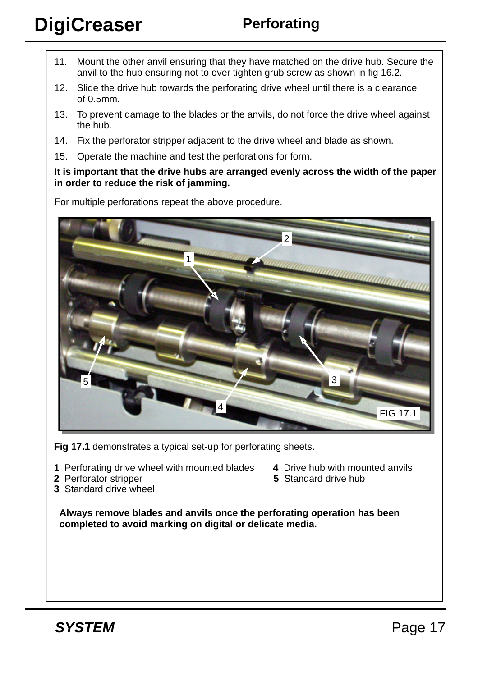# **DigiCreaser** Perforating

- 11. Mount the other anvil ensuring that they have matched on the drive hub. Secure the anvil to the hub ensuring not to over tighten grub screw as shown in fig 16.2.
- 12. Slide the drive hub towards the perforating drive wheel until there is a clearance of 0.5mm.
- 13. To prevent damage to the blades or the anvils, do not force the drive wheel against the hub.
- 14. Fix the perforator stripper adjacent to the drive wheel and blade as shown.
- 15. Operate the machine and test the perforations for form.

**It is important that the drive hubs are arranged evenly across the width of the paper in order to reduce the risk of jamming.**

For multiple perforations repeat the above procedure.



**Fig 17.1** demonstrates a typical set-up for perforating sheets.

- **1** Perforating drive wheel with mounted blades 4 Drive hub with mounted anvils
- **2** Perforator stripper Standard drive hub
- -

**3** Standard drive wheel

**Always remove blades and anvils once the perforating operation has been completed to avoid marking on digital or delicate media.**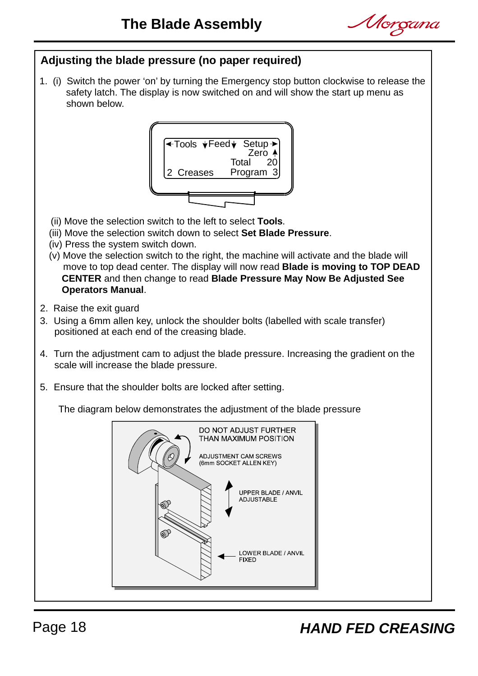Morgana

# **Adjusting the blade pressure (no paper required)**

1. (i) Switch the power 'on' by turning the Emergency stop button clockwise to release the safety latch. The display is now switched on and will show the start up menu as shown below.



- (ii) Move the selection switch to the left to select **Tools**.
- (iii) Move the selection switch down to select **Set Blade Pressure**.
- (iv) Press the system switch down.
- (v) Move the selection switch to the right, the machine will activate and the blade will move to top dead center. The display will now read **Blade is moving to TOP DEAD CENTER** and then change to read **Blade Pressure May Now Be Adjusted See Operators Manual**.
- 2. Raise the exit guard
- 3. Using a 6mm allen key, unlock the shoulder bolts (labelled with scale transfer) positioned at each end of the creasing blade.
- 4. Turn the adjustment cam to adjust the blade pressure. Increasing the gradient on the scale will increase the blade pressure.
- 5. Ensure that the shoulder bolts are locked after setting.

The diagram below demonstrates the adjustment of the blade pressure

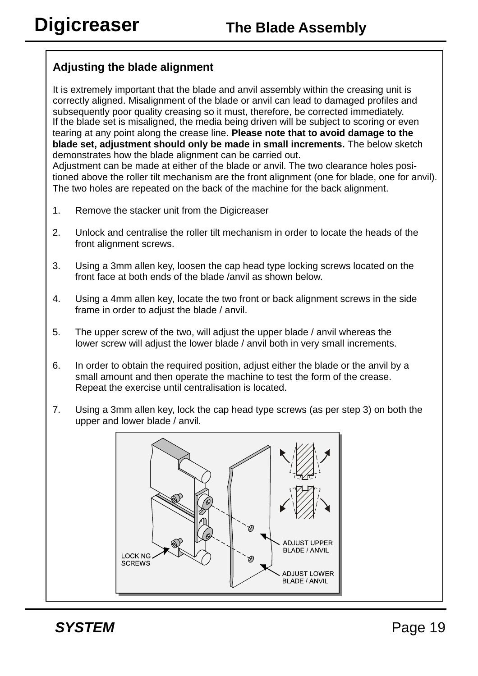# **Adjusting the blade alignment**

If the blade set is misaligned, the media being driven will be subject to scoring or even tearing at any point along the crease line. **Please note that to avoid damage to the blade set, adjustment should only be made in small increments.** The below sketch demonstrates how the blade alignment can be carried out. It is extremely important that the blade and anvil assembly within the creasing unit is correctly aligned. Misalignment of the blade or anvil can lead to damaged profiles and subsequently poor quality creasing so it must, therefore, be corrected immediately.

Adjustment can be made at either of the blade or anvil. The two clearance holes positioned above the roller tilt mechanism are the front alignment (one for blade, one for anvil). The two holes are repeated on the back of the machine for the back alignment.

- 1. Remove the stacker unit from the Digicreaser
- 2. Unlock and centralise the roller tilt mechanism in order to locate the heads of the front alignment screws.
- 3. Using a 3mm allen key, loosen the cap head type locking screws located on the front face at both ends of the blade /anvil as shown below.
- 4. Using a 4mm allen key, locate the two front or back alignment screws in the side frame in order to adjust the blade / anvil.
- 5. The upper screw of the two, will adjust the upper blade / anvil whereas the lower screw will adjust the lower blade / anvil both in very small increments.
- 6. In order to obtain the required position, adjust either the blade or the anvil by a small amount and then operate the machine to test the form of the crease. Repeat the exercise until centralisation is located.
- 7. Using a 3mm allen key, lock the cap head type screws (as per step 3) on both the upper and lower blade / anvil.



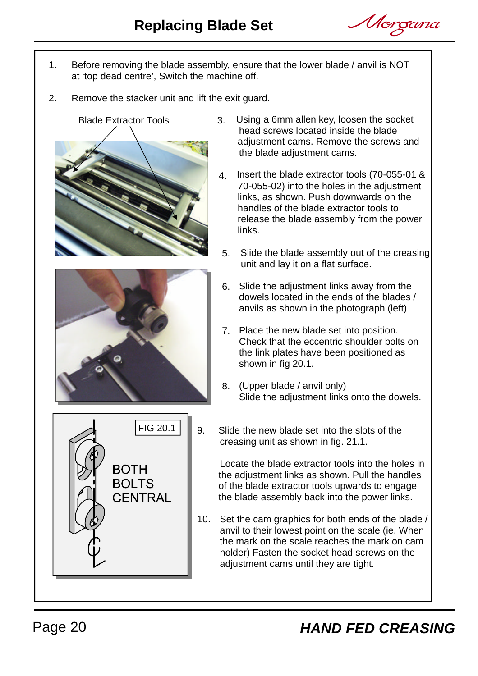

- 1. Before removing the blade assembly, ensure that the lower blade / anvil is NOT at 'top dead centre', Switch the machine off.
- 2. Remove the stacker unit and lift the exit guard.



**BOTH BOLTS** 

**CFNTRAL** 

- Blade Extractor Tools 3. Using a 6mm allen key, loosen the socket head screws located inside the blade adjustment cams. Remove the screws and the blade adjustment cams.
	- 4. Insert the blade extractor tools (70-055-01 & 70-055-02) into the holes in the adjustment links, as shown. Push downwards on the handles of the blade extractor tools to release the blade assembly from the power links.
	- 5. Slide the blade assembly out of the creasing unit and lay it on a flat surface.
	- 6. Slide the adjustment links away from the dowels located in the ends of the blades / anvils as shown in the photograph (left)
	- 7. Place the new blade set into position. Check that the eccentric shoulder bolts on the link plates have been positioned as shown in fig 20.1.
	- 8. (Upper blade / anvil only) Slide the adjustment links onto the dowels.
	- 9. Slide the new blade set into the slots of the creasing unit as shown in fig. 21.1.

Locate the blade extractor tools into the holes in the adjustment links as shown. Pull the handles of the blade extractor tools upwards to engage the blade assembly back into the power links.

10. Set the cam graphics for both ends of the blade / anvil to their lowest point on the scale (ie. When the mark on the scale reaches the mark on cam holder) Fasten the socket head screws on the adjustment cams until they are tight.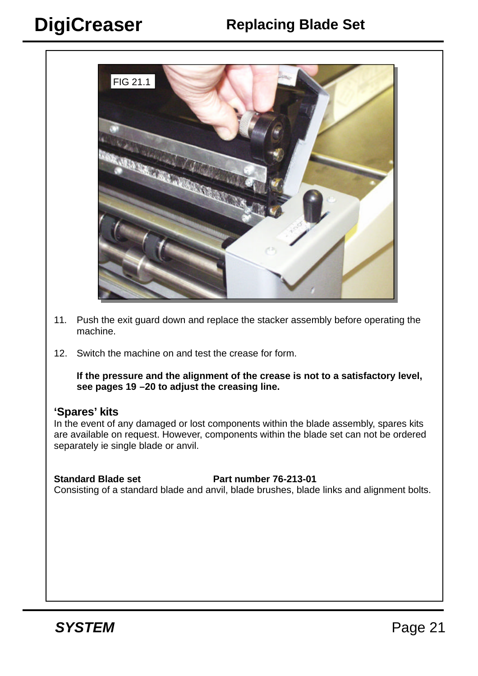

- 11. Push the exit guard down and replace the stacker assembly before operating the machine.
- 12. Switch the machine on and test the crease for form.

**If the pressure and the alignment of the crease is not to a satisfactory level, see pages 19 –20 to adjust the creasing line.**

#### **'Spares' kits**

In the event of any damaged or lost components within the blade assembly, spares kits are available on request. However, components within the blade set can not be ordered separately ie single blade or anvil.

#### **Standard Blade set Part number 76-213-01**

Consisting of a standard blade and anvil, blade brushes, blade links and alignment bolts.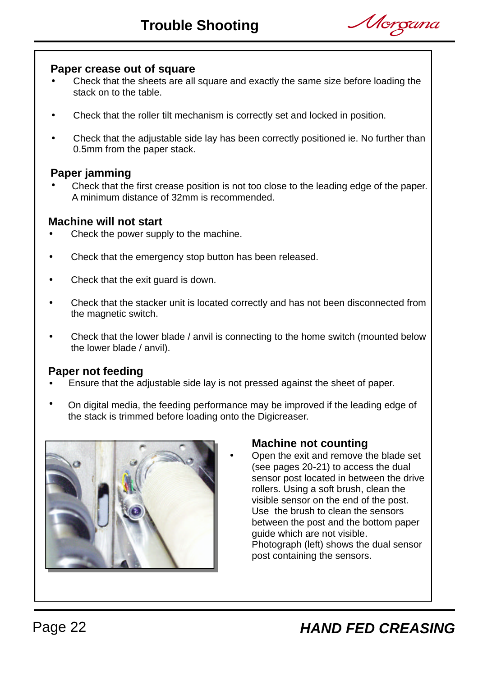Morgana

# **Paper crease out of square**

- Check that the sheets are all square and exactly the same size before loading the stack on to the table.
- Check that the roller tilt mechanism is correctly set and locked in position.
- Check that the adjustable side lay has been correctly positioned ie. No further than 0.5mm from the paper stack.

# **Paper jamming**

• Check that the first crease position is not too close to the leading edge of the paper. A minimum distance of 32mm is recommended.

# **Machine will not start**

- Check the power supply to the machine.
- Check that the emergency stop button has been released.
- Check that the exit quard is down.
- Check that the stacker unit is located correctly and has not been disconnected from the magnetic switch.
- Check that the lower blade / anvil is connecting to the home switch (mounted below the lower blade / anvil).

# **Paper not feeding**

- Ensure that the adjustable side lay is not pressed against the sheet of paper.
- On digital media, the feeding performance may be improved if the leading edge of the stack is trimmed before loading onto the Digicreaser.



# **Machine not counting**

• Open the exit and remove the blade set (see pages 20-21) to access the dual sensor post located in between the drive rollers. Using a soft brush, clean the visible sensor on the end of the post. Use the brush to clean the sensors between the post and the bottom paper guide which are not visible. Photograph (left) shows the dual sensor post containing the sensors.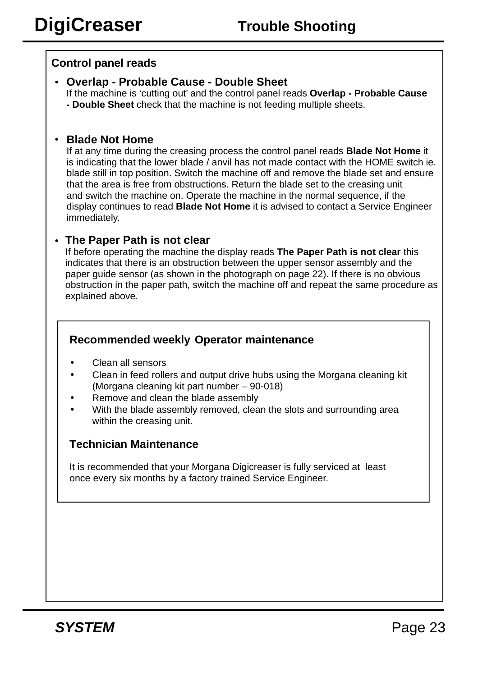# **Control panel reads**

## • **Overlap - Probable Cause - Double Sheet**

If the machine is 'cutting out' and the control panel reads **Overlap - Probable Cause - Double Sheet** check that the machine is not feeding multiple sheets.

### • **Blade Not Home**

If at any time during the creasing process the control panel reads **Blade Not Home** it is indicating that the lower blade / anvil has not made contact with the HOME switch ie. blade still in top position. Switch the machine off and remove the blade set and ensure that the area is free from obstructions. Return the blade set to the creasing unit and switch the machine on. Operate the machine in the normal sequence, if the display continues to read **Blade Not Home** it is advised to contact a Service Engineer immediately.

### • **The Paper Path is not clear**

If before operating the machine the display reads **The Paper Path is not clear** this indicates that there is an obstruction between the upper sensor assembly and the paper guide sensor (as shown in the photograph on page 22). If there is no obvious obstruction in the paper path, switch the machine off and repeat the same procedure as explained above.

### **Recommended weekly Operator maintenance**

- Clean all sensors
- Clean in feed rollers and output drive hubs using the Morgana cleaning kit (Morgana cleaning kit part number – 90-018)
- Remove and clean the blade assembly
- With the blade assembly removed, clean the slots and surrounding area within the creasing unit.

### **Technician Maintenance**

It is recommended that your Morgana Digicreaser is fully serviced at least once every six months by a factory trained Service Engineer.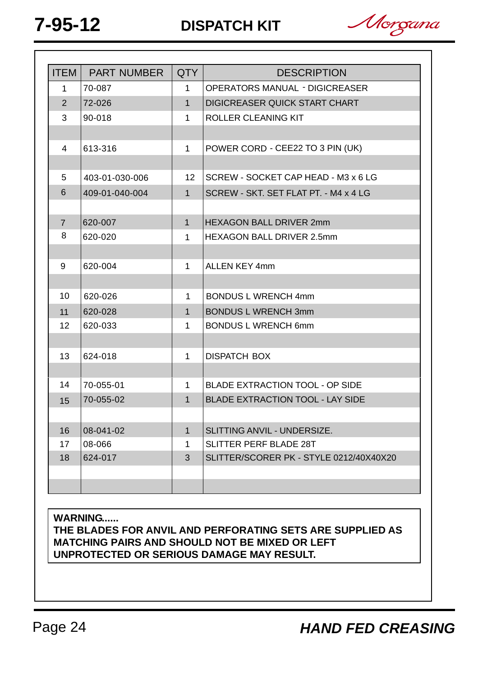**7-95-12**

**DISPATCH KIT**



| <b>ITEM</b>    | <b>PART NUMBER</b> | <b>QTY</b>      | <b>DESCRIPTION</b>                      |
|----------------|--------------------|-----------------|-----------------------------------------|
| $\mathbf{1}$   | 70-087             | $\mathbf{1}$    | <b>OPERATORS MANUAL - DIGICREASER</b>   |
| $\overline{2}$ | 72-026             | $\mathbf{1}$    | DIGICREASER QUICK START CHART           |
| 3              | 90-018             | $\mathbf{1}$    | <b>ROLLER CLEANING KIT</b>              |
|                |                    |                 |                                         |
| 4              | 613-316            | $\mathbf{1}$    | POWER CORD - CEE22 TO 3 PIN (UK)        |
|                |                    |                 |                                         |
| 5              | 403-01-030-006     | 12 <sup>2</sup> | SCREW - SOCKET CAP HEAD - M3 x 6 LG     |
| 6              | 409-01-040-004     | $\mathbf{1}$    | SCREW - SKT. SET FLAT PT. - M4 x 4 LG   |
|                |                    |                 |                                         |
| $\overline{7}$ | 620-007            | $\mathbf{1}$    | <b>HEXAGON BALL DRIVER 2mm</b>          |
| 8              | 620-020            | $\mathbf 1$     | <b>HEXAGON BALL DRIVER 2.5mm</b>        |
|                |                    |                 |                                         |
| 9              | 620-004            | 1               | <b>ALLEN KEY 4mm</b>                    |
|                |                    |                 |                                         |
| 10             | 620-026            | $\mathbf{1}$    | <b>BONDUS L WRENCH 4mm</b>              |
| 11             | 620-028            | $\mathbf{1}$    | <b>BONDUS L WRENCH 3mm</b>              |
| 12             | 620-033            | 1               | <b>BONDUS L WRENCH 6mm</b>              |
|                |                    |                 |                                         |
| 13             | 624-018            | 1               | <b>DISPATCH BOX</b>                     |
|                |                    |                 |                                         |
| 14             | 70-055-01          | 1               | <b>BLADE EXTRACTION TOOL - OP SIDE</b>  |
| 15             | 70-055-02          | $\mathbf{1}$    | <b>BLADE EXTRACTION TOOL - LAY SIDE</b> |
|                |                    |                 |                                         |
| 16             | 08-041-02          | $\mathbf{1}$    | <b>SLITTING ANVIL - UNDERSIZE.</b>      |
| 17             | 08-066             | 1               | <b>SLITTER PERF BLADE 28T</b>           |
| 18             | 624-017            | 3               | SLITTER/SCORER PK - STYLE 0212/40X40X20 |
|                |                    |                 |                                         |
|                |                    |                 |                                         |

#### **WARNING...... THE BLADES FOR ANVIL AND PERFORATING SETS ARE SUPPLIED AS MATCHING PAIRS AND SHOULD NOT BE MIXED OR LEFT UNPROTECTED OR SERIOUS DAMAGE MAY RESULT.**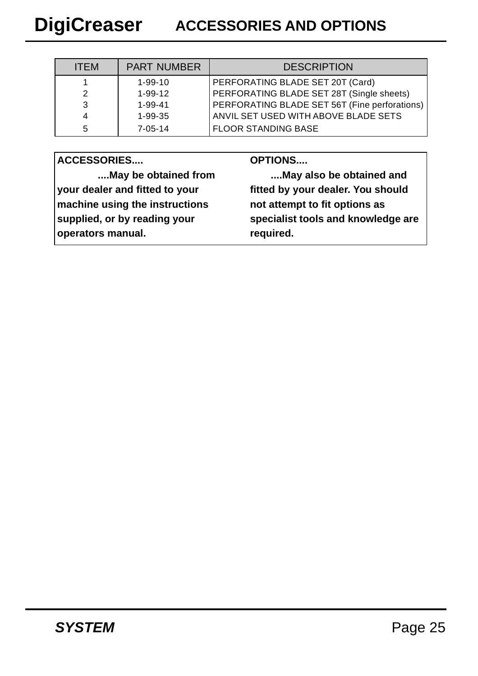| <b>ITEM</b> | <b>PART NUMBER</b> | <b>DESCRIPTION</b>                            |
|-------------|--------------------|-----------------------------------------------|
|             | $1 - 99 - 10$      | PERFORATING BLADE SET 20T (Card)              |
| 2           | $1 - 99 - 12$      | PERFORATING BLADE SET 28T (Single sheets)     |
| 3           | $1 - 99 - 41$      | PERFORATING BLADE SET 56T (Fine perforations) |
| 4           | $1 - 99 - 35$      | ANVIL SET USED WITH ABOVE BLADE SETS          |
| 5           | $7 - 05 - 14$      | <b>FLOOR STANDING BASE</b>                    |

| <b>ACCESSORIES</b>             | <b>OPTIONS</b>                     |
|--------------------------------|------------------------------------|
| May be obtained from           | May also be obtained and           |
| your dealer and fitted to your | fitted by your dealer. You should  |
| machine using the instructions | not attempt to fit options as      |
| supplied, or by reading your   | specialist tools and knowledge are |
| operators manual.              | required.                          |
|                                |                                    |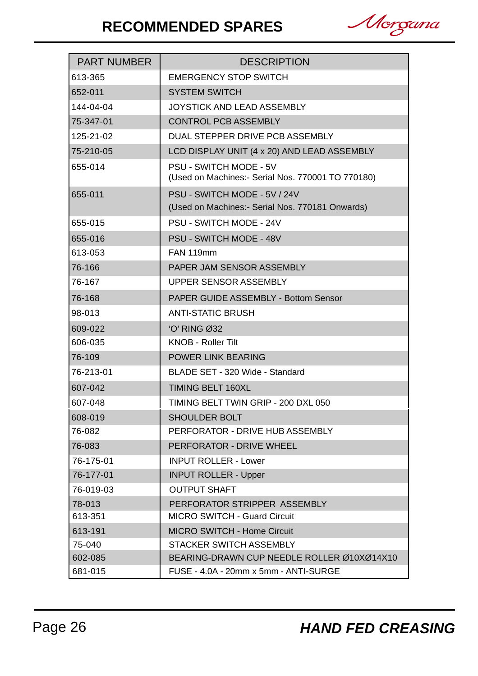

| <b>PART NUMBER</b> | <b>DESCRIPTION</b>                                                                 |
|--------------------|------------------------------------------------------------------------------------|
| 613-365            | <b>EMERGENCY STOP SWITCH</b>                                                       |
| 652-011            | <b>SYSTEM SWITCH</b>                                                               |
| 144-04-04          | JOYSTICK AND LEAD ASSEMBLY                                                         |
| 75-347-01          | <b>CONTROL PCB ASSEMBLY</b>                                                        |
| 125-21-02          | DUAL STEPPER DRIVE PCB ASSEMBLY                                                    |
| 75-210-05          | LCD DISPLAY UNIT (4 x 20) AND LEAD ASSEMBLY                                        |
| 655-014            | <b>PSU - SWITCH MODE - 5V</b><br>(Used on Machines:- Serial Nos. 770001 TO 770180) |
| 655-011            | PSU - SWITCH MODE - 5V / 24V<br>(Used on Machines:- Serial Nos. 770181 Onwards)    |
| 655-015            | PSU - SWITCH MODE - 24V                                                            |
| 655-016            | PSU - SWITCH MODE - 48V                                                            |
| 613-053            | <b>FAN 119mm</b>                                                                   |
| 76-166             | PAPER JAM SENSOR ASSEMBLY                                                          |
| 76-167             | <b>UPPER SENSOR ASSEMBLY</b>                                                       |
| 76-168             | <b>PAPER GUIDE ASSEMBLY - Bottom Sensor</b>                                        |
| 98-013             | <b>ANTI-STATIC BRUSH</b>                                                           |
| 609-022            | 'O' RING Ø32                                                                       |
| 606-035            | <b>KNOB - Roller Tilt</b>                                                          |
| 76-109             | <b>POWER LINK BEARING</b>                                                          |
| 76-213-01          | BLADE SET - 320 Wide - Standard                                                    |
| 607-042            | <b>TIMING BELT 160XL</b>                                                           |
| 607-048            | TIMING BELT TWIN GRIP - 200 DXL 050                                                |
| 608-019            | <b>SHOULDER BOLT</b>                                                               |
| 76-082             | PERFORATOR - DRIVE HUB ASSEMBLY                                                    |
| 76-083             | PERFORATOR - DRIVE WHEEL                                                           |
| 76-175-01          | <b>INPUT ROLLER - Lower</b>                                                        |
| 76-177-01          | <b>INPUT ROLLER - Upper</b>                                                        |
| 76-019-03          | <b>OUTPUT SHAFT</b>                                                                |
| 78-013             | PERFORATOR STRIPPER ASSEMBLY                                                       |
| 613-351            | <b>MICRO SWITCH - Guard Circuit</b>                                                |
| 613-191            | <b>MICRO SWITCH - Home Circuit</b>                                                 |
| 75-040<br>602-085  | <b>STACKER SWITCH ASSEMBLY</b><br>BEARING-DRAWN CUP NEEDLE ROLLER Ø10XØ14X10       |
| 681-015            | FUSE - 4.0A - 20mm x 5mm - ANTI-SURGE                                              |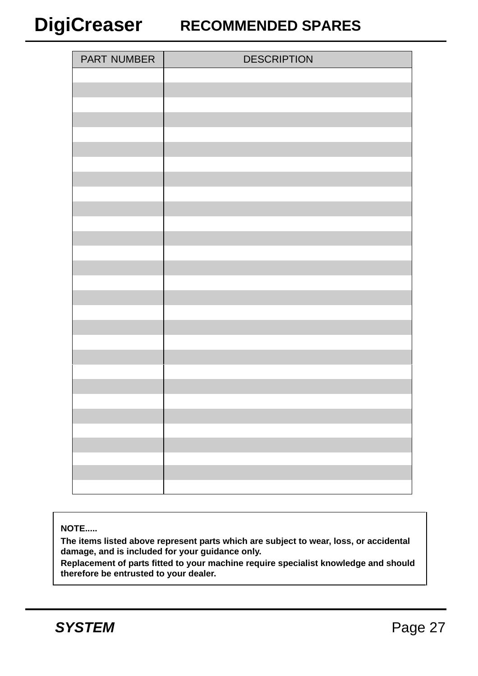| PART NUMBER | <b>DESCRIPTION</b> |
|-------------|--------------------|
|             |                    |
|             |                    |
|             |                    |
|             |                    |
|             |                    |
|             |                    |
|             |                    |
|             |                    |
|             |                    |
|             |                    |
|             |                    |
|             |                    |
|             |                    |
|             |                    |
|             |                    |
|             |                    |
|             |                    |
|             |                    |
|             |                    |
|             |                    |
|             |                    |
|             |                    |
|             |                    |
|             |                    |
|             |                    |
|             |                    |
|             |                    |
|             |                    |

#### **NOTE.....**

**The items listed above represent parts which are subject to wear, loss, or accidental damage, and is included for your guidance only.**

**Replacement of parts fitted to your machine require specialist knowledge and should therefore be entrusted to your dealer.**